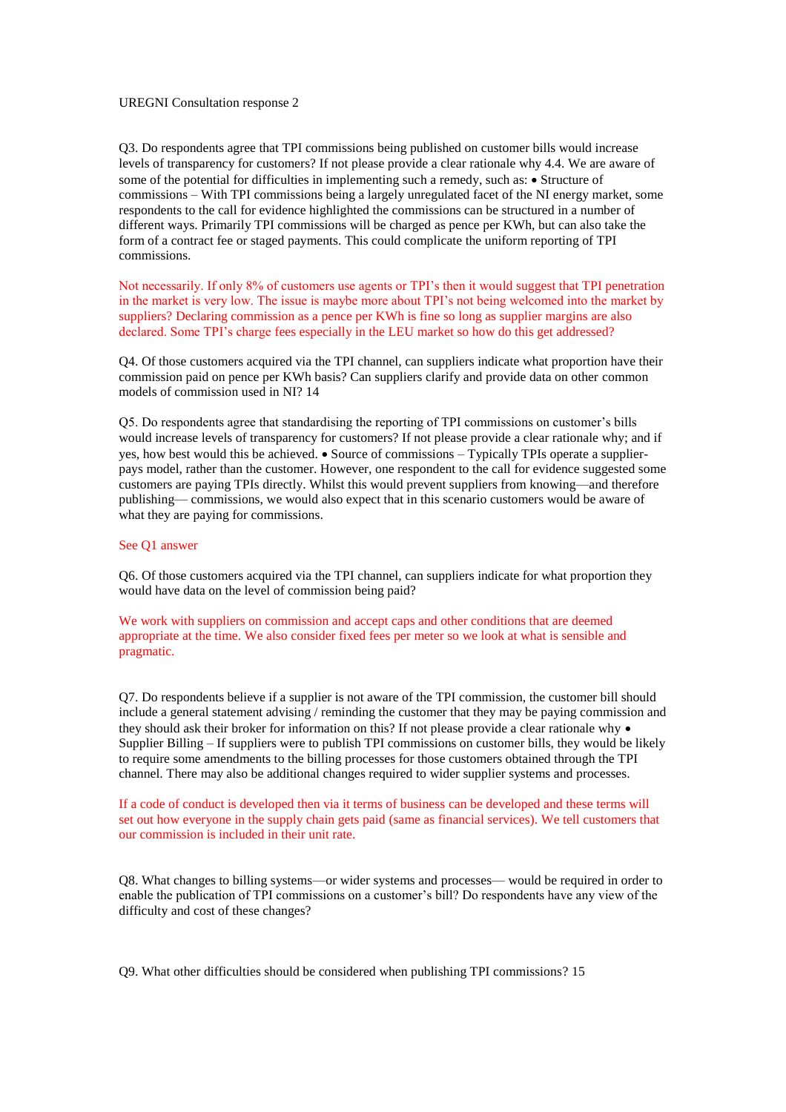## UREGNI Consultation response 2

Q3. Do respondents agree that TPI commissions being published on customer bills would increase levels of transparency for customers? If not please provide a clear rationale why 4.4. We are aware of some of the potential for difficulties in implementing such a remedy, such as:  $\bullet$  Structure of commissions – With TPI commissions being a largely unregulated facet of the NI energy market, some respondents to the call for evidence highlighted the commissions can be structured in a number of different ways. Primarily TPI commissions will be charged as pence per KWh, but can also take the form of a contract fee or staged payments. This could complicate the uniform reporting of TPI commissions.

Not necessarily. If only 8% of customers use agents or TPI's then it would suggest that TPI penetration in the market is very low. The issue is maybe more about TPI's not being welcomed into the market by suppliers? Declaring commission as a pence per KWh is fine so long as supplier margins are also declared. Some TPI's charge fees especially in the LEU market so how do this get addressed?

Q4. Of those customers acquired via the TPI channel, can suppliers indicate what proportion have their commission paid on pence per KWh basis? Can suppliers clarify and provide data on other common models of commission used in NI? 14

Q5. Do respondents agree that standardising the reporting of TPI commissions on customer's bills would increase levels of transparency for customers? If not please provide a clear rationale why; and if yes, how best would this be achieved.  $\bullet$  Source of commissions – Typically TPIs operate a supplierpays model, rather than the customer. However, one respondent to the call for evidence suggested some customers are paying TPIs directly. Whilst this would prevent suppliers from knowing—and therefore publishing— commissions, we would also expect that in this scenario customers would be aware of what they are paying for commissions.

## See Q1 answer

Q6. Of those customers acquired via the TPI channel, can suppliers indicate for what proportion they would have data on the level of commission being paid?

We work with suppliers on commission and accept caps and other conditions that are deemed appropriate at the time. We also consider fixed fees per meter so we look at what is sensible and pragmatic.

Q7. Do respondents believe if a supplier is not aware of the TPI commission, the customer bill should include a general statement advising / reminding the customer that they may be paying commission and they should ask their broker for information on this? If not please provide a clear rationale why  $\bullet$ Supplier Billing – If suppliers were to publish TPI commissions on customer bills, they would be likely to require some amendments to the billing processes for those customers obtained through the TPI channel. There may also be additional changes required to wider supplier systems and processes.

If a code of conduct is developed then via it terms of business can be developed and these terms will set out how everyone in the supply chain gets paid (same as financial services). We tell customers that our commission is included in their unit rate.

Q8. What changes to billing systems—or wider systems and processes— would be required in order to enable the publication of TPI commissions on a customer's bill? Do respondents have any view of the difficulty and cost of these changes?

Q9. What other difficulties should be considered when publishing TPI commissions? 15